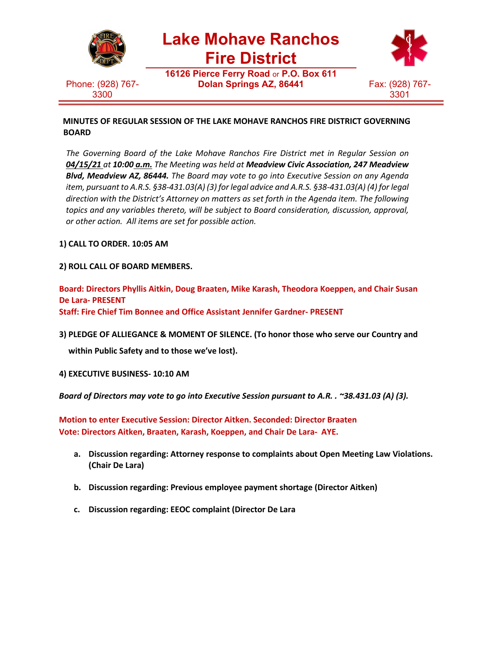

Phone: (928) 767- 3300

**Lake Mohave Ranchos**

**Fire District**

**16126 Pierce Ferry Road** or **P.O. Box 611 Dolan Springs AZ, 86441** Fax: (928) 767-



**MINUTES OF REGULAR SESSION OF THE LAKE MOHAVE RANCHOS FIRE DISTRICT GOVERNING BOARD**

*The Governing Board of the Lake Mohave Ranchos Fire District met in Regular Session on 04/15/21 at 10:00 a.m. The Meeting was held at Meadview Civic Association, 247 Meadview Blvd, Meadview AZ, 86444. The Board may vote to go into Executive Session on any Agenda item, pursuant to A.R.S. §38-431.03(A) (3) for legal advice and A.R.S. §38-431.03(A) (4) for legal direction with the District's Attorney on matters as set forth in the Agenda item. The following topics and any variables thereto, will be subject to Board consideration, discussion, approval, or other action. All items are set for possible action.*

**1) CALL TO ORDER. 10:05 AM**

**2) ROLL CALL OF BOARD MEMBERS.**

**Board: Directors Phyllis Aitkin, Doug Braaten, Mike Karash, Theodora Koeppen, and Chair Susan De Lara- PRESENT Staff: Fire Chief Tim Bonnee and Office Assistant Jennifer Gardner- PRESENT**

**3) PLEDGE OF ALLIEGANCE & MOMENT OF SILENCE. (To honor those who serve our Country and**

**within Public Safety and to those we've lost).**

**4) EXECUTIVE BUSINESS- 10:10 AM**

*Board of Directors may vote to go into Executive Session pursuant to A.R. . ~38.431.03 (A) (3).*

**Motion to enter Executive Session: Director Aitken. Seconded: Director Braaten Vote: Directors Aitken, Braaten, Karash, Koeppen, and Chair De Lara- AYE.**

- **a. Discussion regarding: Attorney response to complaints about Open Meeting Law Violations. (Chair De Lara)**
- **b. Discussion regarding: Previous employee payment shortage (Director Aitken)**
- **c. Discussion regarding: EEOC complaint (Director De Lara**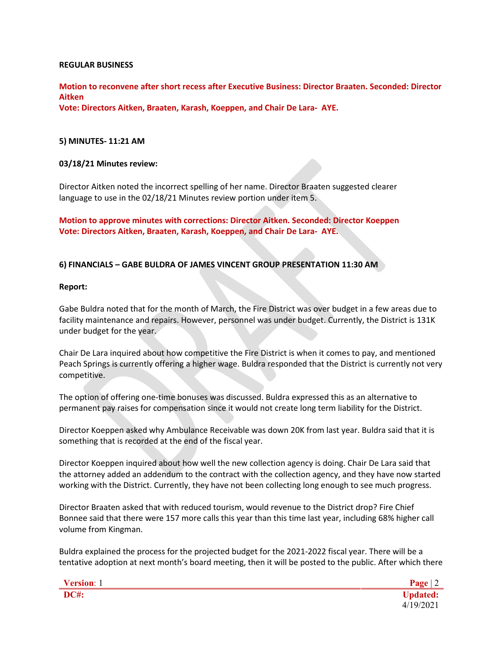#### **REGULAR BUSINESS**

**Motion to reconvene after short recess after Executive Business: Director Braaten. Seconded: Director Aitken**

**Vote: Directors Aitken, Braaten, Karash, Koeppen, and Chair De Lara- AYE.**

#### **5) MINUTES- 11:21 AM**

#### **03/18/21 Minutes review:**

Director Aitken noted the incorrect spelling of her name. Director Braaten suggested clearer language to use in the 02/18/21 Minutes review portion under item 5.

**Motion to approve minutes with corrections: Director Aitken. Seconded: Director Koeppen Vote: Directors Aitken, Braaten, Karash, Koeppen, and Chair De Lara- AYE.**

## **6) FINANCIALS – GABE BULDRA OF JAMES VINCENT GROUP PRESENTATION 11:30 AM**

#### **Report:**

Gabe Buldra noted that for the month of March, the Fire District was over budget in a few areas due to facility maintenance and repairs. However, personnel was under budget. Currently, the District is 131K under budget for the year.

Chair De Lara inquired about how competitive the Fire District is when it comes to pay, and mentioned Peach Springs is currently offering a higher wage. Buldra responded that the District is currently not very competitive.

The option of offering one-time bonuses was discussed. Buldra expressed this as an alternative to permanent pay raises for compensation since it would not create long term liability for the District.

Director Koeppen asked why Ambulance Receivable was down 20K from last year. Buldra said that it is something that is recorded at the end of the fiscal year.

Director Koeppen inquired about how well the new collection agency is doing. Chair De Lara said that the attorney added an addendum to the contract with the collection agency, and they have now started working with the District. Currently, they have not been collecting long enough to see much progress.

Director Braaten asked that with reduced tourism, would revenue to the District drop? Fire Chief Bonnee said that there were 157 more calls this year than this time last year, including 68% higher call volume from Kingman.

Buldra explained the process for the projected budget for the 2021-2022 fiscal year. There will be a tentative adoption at next month's board meeting, then it will be posted to the public. After which there

**Version**: 1 **Page** | 2 **DC#: Updated:** 4/19/2021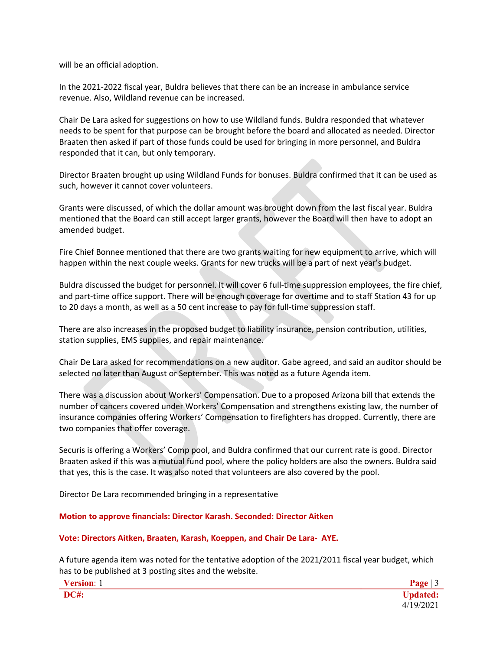will be an official adoption.

In the 2021-2022 fiscal year, Buldra believes that there can be an increase in ambulance service revenue. Also, Wildland revenue can be increased.

Chair De Lara asked for suggestions on how to use Wildland funds. Buldra responded that whatever needs to be spent for that purpose can be brought before the board and allocated as needed. Director Braaten then asked if part of those funds could be used for bringing in more personnel, and Buldra responded that it can, but only temporary.

Director Braaten brought up using Wildland Funds for bonuses. Buldra confirmed that it can be used as such, however it cannot cover volunteers.

Grants were discussed, of which the dollar amount was brought down from the last fiscal year. Buldra mentioned that the Board can still accept larger grants, however the Board will then have to adopt an amended budget.

Fire Chief Bonnee mentioned that there are two grants waiting for new equipment to arrive, which will happen within the next couple weeks. Grants for new trucks will be a part of next year's budget.

Buldra discussed the budget for personnel. It will cover 6 full-time suppression employees, the fire chief, and part-time office support. There will be enough coverage for overtime and to staff Station 43 for up to 20 days a month, as well as a 50 cent increase to pay for full-time suppression staff.

There are also increases in the proposed budget to liability insurance, pension contribution, utilities, station supplies, EMS supplies, and repair maintenance.

Chair De Lara asked for recommendations on a new auditor. Gabe agreed, and said an auditor should be selected no later than August or September. This was noted as a future Agenda item.

There was a discussion about Workers' Compensation. Due to a proposed Arizona bill that extends the number of cancers covered under Workers' Compensation and strengthens existing law, the number of insurance companies offering Workers' Compensation to firefighters has dropped. Currently, there are two companies that offer coverage.

Securis is offering a Workers' Comp pool, and Buldra confirmed that our current rate is good. Director Braaten asked if this was a mutual fund pool, where the policy holders are also the owners. Buldra said that yes, this is the case. It was also noted that volunteers are also covered by the pool.

Director De Lara recommended bringing in a representative

**Motion to approve financials: Director Karash. Seconded: Director Aitken**

**Vote: Directors Aitken, Braaten, Karash, Koeppen, and Chair De Lara- AYE.**

A future agenda item was noted for the tentative adoption of the 2021/2011 fiscal year budget, which has to be published at 3 posting sites and the website.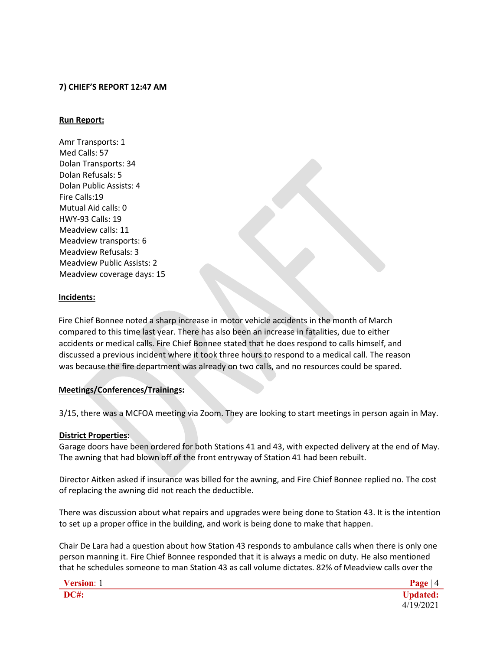## **7) CHIEF'S REPORT 12:47 AM**

### **Run Report:**

Amr Transports: 1 Med Calls: 57 Dolan Transports: 34 Dolan Refusals: 5 Dolan Public Assists: 4 Fire Calls:19 Mutual Aid calls: 0 HWY-93 Calls: 19 Meadview calls: 11 Meadview transports: 6 Meadview Refusals: 3 Meadview Public Assists: 2 Meadview coverage days: 15

#### **Incidents:**

Fire Chief Bonnee noted a sharp increase in motor vehicle accidents in the month of March compared to this time last year. There has also been an increase in fatalities, due to either accidents or medical calls. Fire Chief Bonnee stated that he does respond to calls himself, and discussed a previous incident where it took three hours to respond to a medical call. The reason was because the fire department was already on two calls, and no resources could be spared.

## **Meetings/Conferences/Trainings:**

3/15, there was a MCFOA meeting via Zoom. They are looking to start meetings in person again in May.

## **District Properties:**

Garage doors have been ordered for both Stations 41 and 43, with expected delivery at the end of May. The awning that had blown off of the front entryway of Station 41 had been rebuilt.

Director Aitken asked if insurance was billed for the awning, and Fire Chief Bonnee replied no. The cost of replacing the awning did not reach the deductible.

There was discussion about what repairs and upgrades were being done to Station 43. It is the intention to set up a proper office in the building, and work is being done to make that happen.

Chair De Lara had a question about how Station 43 responds to ambulance calls when there is only one person manning it. Fire Chief Bonnee responded that it is always a medic on duty. He also mentioned that he schedules someone to man Station 43 as call volume dictates. 82% of Meadview calls over the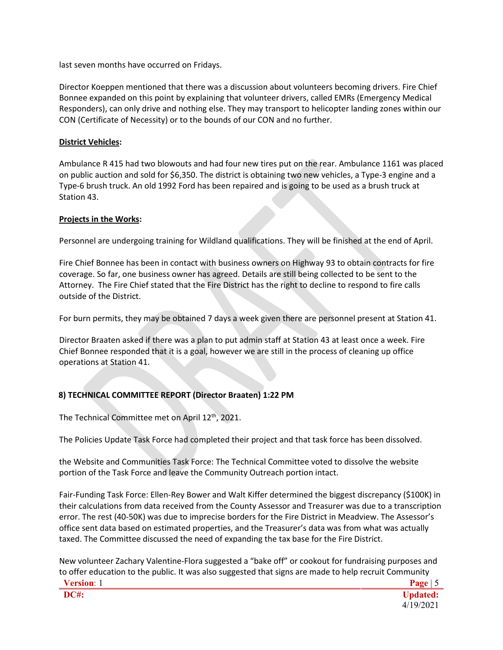last seven months have occurred on Fridays.

Director Koeppen mentioned that there was a discussion about volunteers becoming drivers. Fire Chief Bonnee expanded on this point by explaining that volunteer drivers, called EMRs (Emergency Medical Responders), can only drive and nothing else. They may transport to helicopter landing zones within our CON (Certificate of Necessity) or to the bounds of our CON and no further.

## **District Vehicles:**

Ambulance R 415 had two blowouts and had four new tires put on the rear. Ambulance 1161 was placed on public auction and sold for \$6,350. The district is obtaining two new vehicles, a Type-3 engine and a Type-6 brush truck. An old 1992 Ford has been repaired and is going to be used as a brush truck at Station 43.

# **Projects in the Works:**

Personnel are undergoing training for Wildland qualifications. They will be finished at the end of April.

Fire Chief Bonnee has been in contact with business owners on Highway 93 to obtain contracts for fire coverage. So far, one business owner has agreed. Details are still being collected to be sent to the Attorney. The Fire Chief stated that the Fire District has the right to decline to respond to fire calls outside of the District.

For burn permits, they may be obtained 7 days a week given there are personnel present at Station 41.

Director Braaten asked if there was a plan to put admin staff at Station 43 at least once a week. Fire Chief Bonnee responded that it is a goal, however we are still in the process of cleaning up office operations at Station 41.

# **8) TECHNICAL COMMITTEE REPORT (Director Braaten) 1:22 PM**

The Technical Committee met on April 12<sup>th</sup>, 2021.

The Policies Update Task Force had completed their project and that task force has been dissolved.

the Website and Communities Task Force: The Technical Committee voted to dissolve the website portion of the Task Force and leave the Community Outreach portion intact.

Fair-Funding Task Force: Ellen-Rey Bower and Walt Kiffer determined the biggest discrepancy (\$100K) in their calculations from data received from the County Assessor and Treasurer was due to a transcription error. The rest (40-50K) was due to imprecise borders for the Fire District in Meadview. The Assessor's office sent data based on estimated properties, and the Treasurer's data was from what was actually taxed. The Committee discussed the need of expanding the tax base for the Fire District.

New volunteer Zachary Valentine-Flora suggested a "bake off" or cookout for fundraising purposes and to offer education to the public. It was also suggested that signs are made to help recruit Community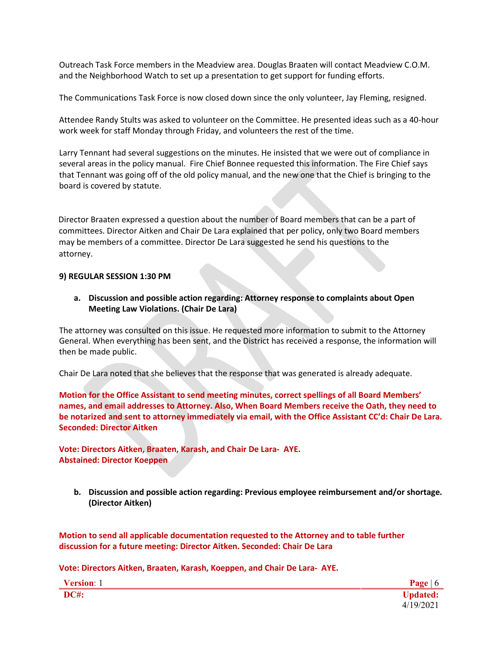Outreach Task Force members in the Meadview area. Douglas Braaten will contact Meadview C.O.M. and the Neighborhood Watch to set up a presentation to get support for funding efforts.

The Communications Task Force is now closed down since the only volunteer, Jay Fleming, resigned.

Attendee Randy Stults was asked to volunteer on the Committee. He presented ideas such as a 40-hour work week for staff Monday through Friday, and volunteers the rest of the time.

Larry Tennant had several suggestions on the minutes. He insisted that we were out of compliance in several areas in the policy manual. Fire Chief Bonnee requested this information. The Fire Chief says that Tennant was going off of the old policy manual, and the new one that the Chief is bringing to the board is covered by statute.

Director Braaten expressed a question about the number of Board members that can be a part of committees. Director Aitken and Chair De Lara explained that per policy, only two Board members may be members of a committee. Director De Lara suggested he send his questions to the attorney.

## **9) REGULAR SESSION 1:30 PM**

**a. Discussion and possible action regarding: Attorney response to complaints about Open Meeting Law Violations. (Chair De Lara)**

The attorney was consulted on this issue. He requested more information to submit to the Attorney General. When everything has been sent, and the District has received a response, the information will then be made public.

Chair De Lara noted that she believes that the response that was generated is already adequate.

**Motion for the Office Assistant to send meeting minutes, correct spellings of all Board Members' names, and email addresses to Attorney. Also, When Board Members receive the Oath, they need to be notarized and sent to attorney immediately via email, with the Office Assistant CC'd: Chair De Lara. Seconded: Director Aitken**

**Vote: Directors Aitken, Braaten, Karash, and Chair De Lara- AYE. Abstained: Director Koeppen**

**b. Discussion and possible action regarding: Previous employee reimbursement and/or shortage. (Director Aitken)**

**Motion to send all applicable documentation requested to the Attorney and to table further discussion for a future meeting: Director Aitken. Seconded: Chair De Lara**

**Vote: Directors Aitken, Braaten, Karash, Koeppen, and Chair De Lara- AYE.**

| Version: 1  | Page $ 6$       |
|-------------|-----------------|
| <b>DC#:</b> | <b>Updated:</b> |
|             | 4/19/2021       |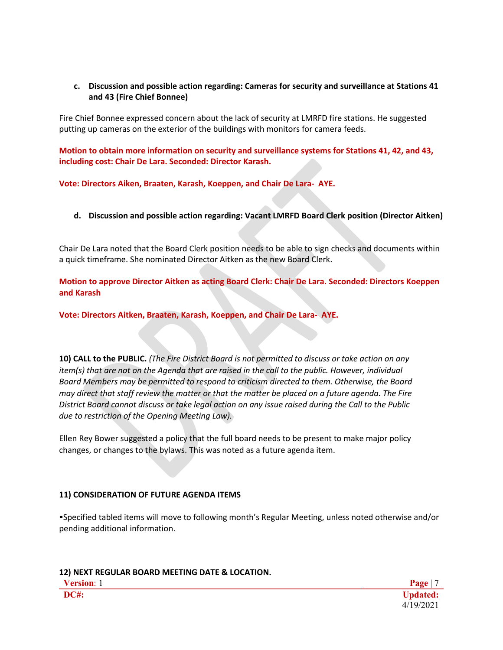# **c. Discussion and possible action regarding: Cameras for security and surveillance at Stations 41 and 43 (Fire Chief Bonnee)**

Fire Chief Bonnee expressed concern about the lack of security at LMRFD fire stations. He suggested putting up cameras on the exterior of the buildings with monitors for camera feeds.

**Motion to obtain more information on security and surveillance systems for Stations 41, 42, and 43, including cost: Chair De Lara. Seconded: Director Karash.**

**Vote: Directors Aiken, Braaten, Karash, Koeppen, and Chair De Lara- AYE.**

**d. Discussion and possible action regarding: Vacant LMRFD Board Clerk position (Director Aitken)**

Chair De Lara noted that the Board Clerk position needs to be able to sign checks and documents within a quick timeframe. She nominated Director Aitken as the new Board Clerk.

**Motion to approve Director Aitken as acting Board Clerk: Chair De Lara. Seconded: Directors Koeppen and Karash**

**Vote: Directors Aitken, Braaten, Karash, Koeppen, and Chair De Lara- AYE.**

**10) CALL to the PUBLIC.** *(The Fire District Board is not permitted to discuss or take action on any item(s) that are not on the Agenda that are raised in the call to the public. However, individual Board Members may be permitted to respond to criticism directed to them. Otherwise, the Board may direct that staff review the matter or that the matter be placed on a future agenda. The Fire District Board cannot discuss or take legal action on any issue raised during the Call to the Public due to restriction of the Opening Meeting Law).*

Ellen Rey Bower suggested a policy that the full board needs to be present to make major policy changes, or changes to the bylaws. This was noted as a future agenda item.

# **11) CONSIDERATION OF FUTURE AGENDA ITEMS**

▪Specified tabled items will move to following month's Regular Meeting, unless noted otherwise and/or pending additional information.

## **12) NEXT REGULAR BOARD MEETING DATE & LOCATION.**